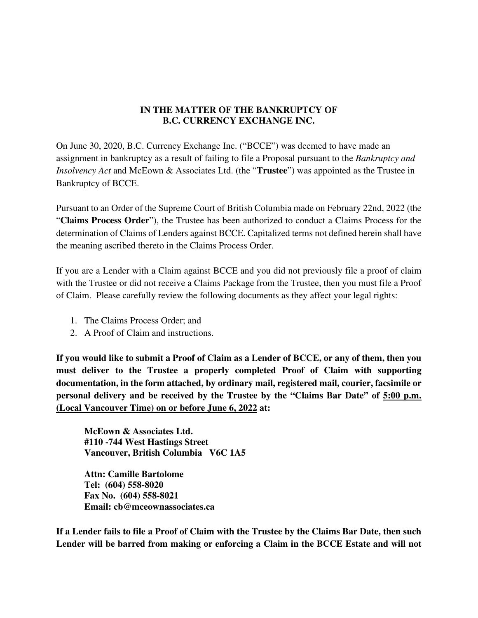## **IN THE MATTER OF THE BANKRUPTCY OF B.C. CURRENCY EXCHANGE INC.**

On June 30, 2020, B.C. Currency Exchange Inc. ("BCCE") was deemed to have made an assignment in bankruptcy as a result of failing to file a Proposal pursuant to the *Bankruptcy and Insolvency Act* and McEown & Associates Ltd. (the "**Trustee**") was appointed as the Trustee in Bankruptcy of BCCE.

Pursuant to an Order of the Supreme Court of British Columbia made on February 22nd, 2022 (the "**Claims Process Order**"), the Trustee has been authorized to conduct a Claims Process for the determination of Claims of Lenders against BCCE. Capitalized terms not defined herein shall have the meaning ascribed thereto in the Claims Process Order.

If you are a Lender with a Claim against BCCE and you did not previously file a proof of claim with the Trustee or did not receive a Claims Package from the Trustee, then you must file a Proof of Claim. Please carefully review the following documents as they affect your legal rights:

- 1. The Claims Process Order; and
- 2. A Proof of Claim and instructions.

**If you would like to submit a Proof of Claim as a Lender of BCCE, or any of them, then you must deliver to the Trustee a properly completed Proof of Claim with supporting documentation, in the form attached, by ordinary mail, registered mail, courier, facsimile or personal delivery and be received by the Trustee by the "Claims Bar Date" of 5:00 p.m. (Local Vancouver Time) on or before June 6, 2022 at:** 

**McEown & Associates Ltd. #110 -744 West Hastings Street Vancouver, British Columbia V6C 1A5** 

**Attn: Camille Bartolome Tel: (604) 558-8020 Fax No. (604) 558-8021 Email: cb@mceownassociates.ca** 

**If a Lender fails to file a Proof of Claim with the Trustee by the Claims Bar Date, then such Lender will be barred from making or enforcing a Claim in the BCCE Estate and will not**